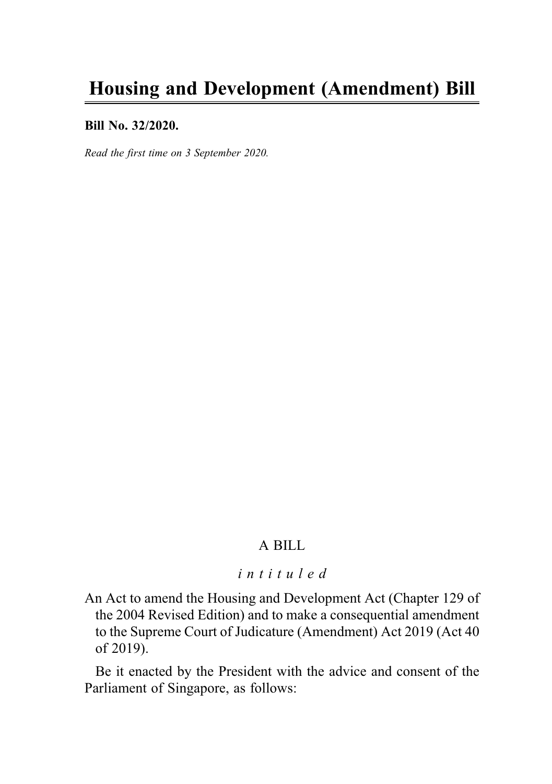### Bill No. 32/2020.

Read the first time on 3 September 2020.

# A BILL

# intituled

An Act to amend the Housing and Development Act (Chapter 129 of the 2004 Revised Edition) and to make a consequential amendment to the Supreme Court of Judicature (Amendment) Act 2019 (Act 40 of 2019).

Be it enacted by the President with the advice and consent of the Parliament of Singapore, as follows: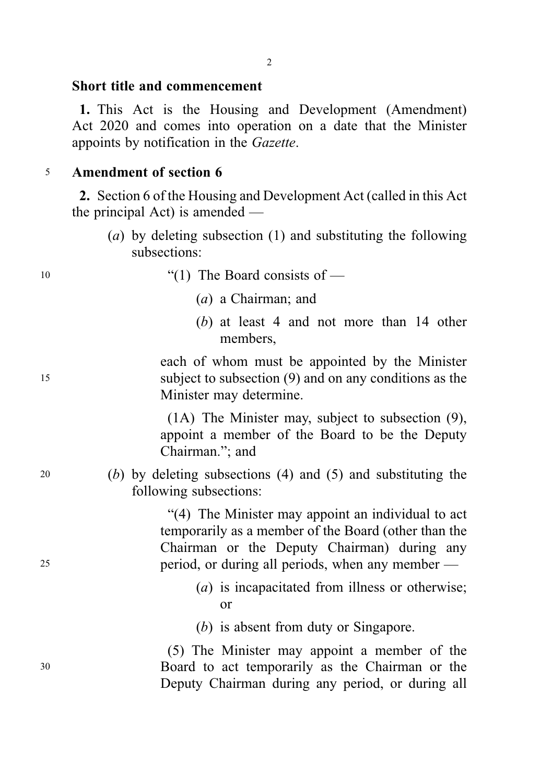#### Short title and commencement

1. This Act is the Housing and Development (Amendment) Act 2020 and comes into operation on a date that the Minister appoints by notification in the Gazette.

### <sup>5</sup> Amendment of section 6

2. Section 6 of the Housing and Development Act (called in this Act the principal Act) is amended —

- (a) by deleting subsection (1) and substituting the following subsections:
- <sup>10</sup> "(1) The Board consists of
	- (a) a Chairman; and
	- (b) at least 4 and not more than 14 other members,

each of whom must be appointed by the Minister <sup>15</sup> subject to subsection (9) and on any conditions as the Minister may determine.

> (1A) The Minister may, subject to subsection (9), appoint a member of the Board to be the Deputy Chairman."; and

<sup>20</sup> (b) by deleting subsections (4) and (5) and substituting the following subsections:

"(4) The Minister may appoint an individual to act temporarily as a member of the Board (other than the Chairman or the Deputy Chairman) during any <sup>25</sup> period, or during all periods, when any member —

- (a) is incapacitated from illness or otherwise; or
- (b) is absent from duty or Singapore.

(5) The Minister may appoint a member of the <sup>30</sup> Board to act temporarily as the Chairman or the Deputy Chairman during any period, or during all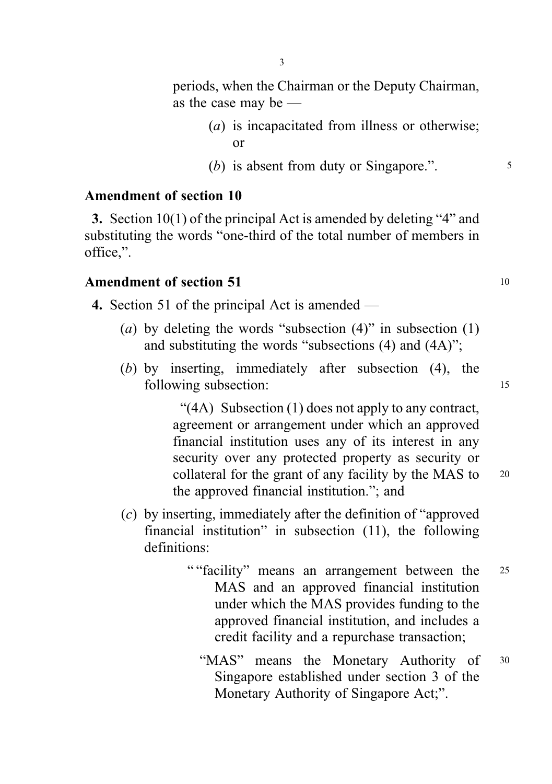periods, when the Chairman or the Deputy Chairman, as the case may be —

- (a) is incapacitated from illness or otherwise; or
- (b) is absent from duty or Singapore.".  $\frac{5}{5}$

## Amendment of section 10

3. Section 10(1) of the principal Act is amended by deleting "4" and substituting the words "one-third of the total number of members in office,".

### Amendment of section 51 <sup>10</sup>

- 4. Section 51 of the principal Act is amended
	- (a) by deleting the words "subsection  $(4)$ " in subsection  $(1)$ and substituting the words "subsections (4) and (4A)";
	- (b) by inserting, immediately after subsection (4), the following subsection: 15

"(4A) Subsection (1) does not apply to any contract, agreement or arrangement under which an approved financial institution uses any of its interest in any security over any protected property as security or collateral for the grant of any facility by the MAS to <sup>20</sup> the approved financial institution."; and

- (c) by inserting, immediately after the definition of "approved financial institution" in subsection (11), the following definitions:
	- " "facility" means an arrangement between the 25 MAS and an approved financial institution under which the MAS provides funding to the approved financial institution, and includes a credit facility and a repurchase transaction;
		- "MAS" means the Monetary Authority of  $30$ Singapore established under section 3 of the Monetary Authority of Singapore Act;".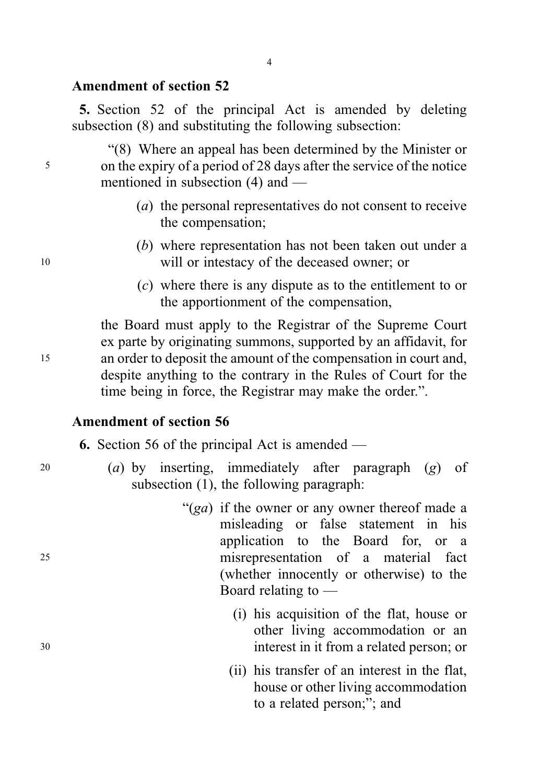#### Amendment of section 52

5. Section 52 of the principal Act is amended by deleting subsection (8) and substituting the following subsection:

"(8) Where an appeal has been determined by the Minister or <sup>5</sup> on the expiry of a period of 28 days after the service of the notice mentioned in subsection (4) and —

- (a) the personal representatives do not consent to receive the compensation;
- (b) where representation has not been taken out under a <sup>10</sup> will or intestacy of the deceased owner; or
	- (c) where there is any dispute as to the entitlement to or the apportionment of the compensation,

the Board must apply to the Registrar of the Supreme Court ex parte by originating summons, supported by an affidavit, for <sup>15</sup> an order to deposit the amount of the compensation in court and, despite anything to the contrary in the Rules of Court for the time being in force, the Registrar may make the order.".

### Amendment of section 56

6. Section 56 of the principal Act is amended —

- 20 (a) by inserting, immediately after paragraph (g) of subsection (1), the following paragraph:
- "(ga) if the owner or any owner thereof made a misleading or false statement in his application to the Board for, or a <sup>25</sup> misrepresentation of a material fact (whether innocently or otherwise) to the Board relating to —
- (i) his acquisition of the flat, house or other living accommodation or an <sup>30</sup> interest in it from a related person; or
	- (ii) his transfer of an interest in the flat, house or other living accommodation to a related person;"; and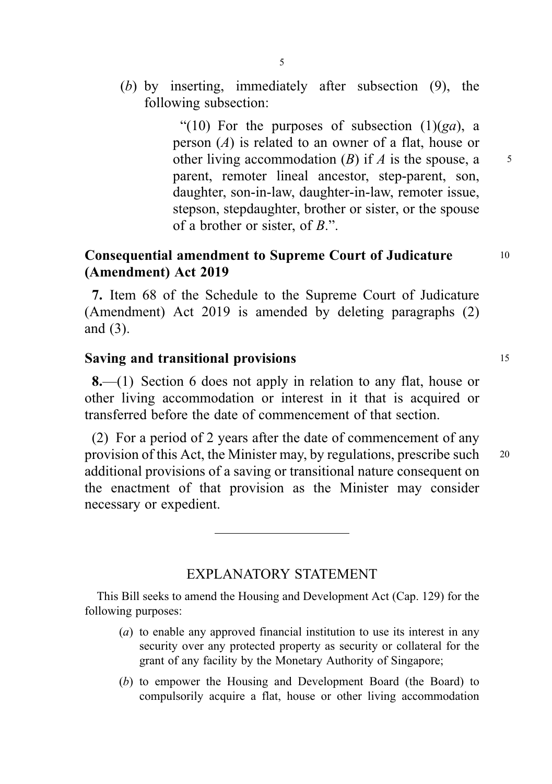(b) by inserting, immediately after subsection (9), the following subsection:

> "(10) For the purposes of subsection  $(1)(ga)$ , a person (A) is related to an owner of a flat, house or other living accommodation (B) if A is the spouse, a  $\frac{5}{5}$ parent, remoter lineal ancestor, step-parent, son, daughter, son-in-law, daughter-in-law, remoter issue, stepson, stepdaughter, brother or sister, or the spouse of a brother or sister, of B.".

# Consequential amendment to Supreme Court of Judicature <sup>10</sup> (Amendment) Act 2019

7. Item 68 of the Schedule to the Supreme Court of Judicature (Amendment) Act 2019 is amended by deleting paragraphs (2) and (3).

## Saving and transitional provisions 15

8.—(1) Section 6 does not apply in relation to any flat, house or other living accommodation or interest in it that is acquired or transferred before the date of commencement of that section.

(2) For a period of 2 years after the date of commencement of any provision of this Act, the Minister may, by regulations, prescribe such <sup>20</sup> additional provisions of a saving or transitional nature consequent on the enactment of that provision as the Minister may consider necessary or expedient.

# EXPLANATORY STATEMENT

This Bill seeks to amend the Housing and Development Act (Cap. 129) for the following purposes:

- (a) to enable any approved financial institution to use its interest in any security over any protected property as security or collateral for the grant of any facility by the Monetary Authority of Singapore;
- (b) to empower the Housing and Development Board (the Board) to compulsorily acquire a flat, house or other living accommodation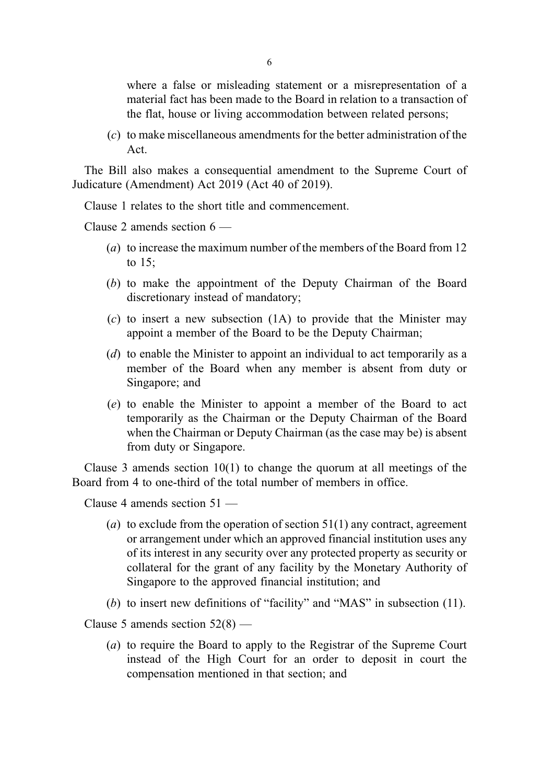where a false or misleading statement or a misrepresentation of a material fact has been made to the Board in relation to a transaction of the flat, house or living accommodation between related persons;

 $(c)$  to make miscellaneous amendments for the better administration of the Act.

The Bill also makes a consequential amendment to the Supreme Court of Judicature (Amendment) Act 2019 (Act 40 of 2019).

Clause 1 relates to the short title and commencement.

Clause 2 amends section  $6$  —

- (a) to increase the maximum number of the members of the Board from 12 to 15;
- (b) to make the appointment of the Deputy Chairman of the Board discretionary instead of mandatory;
- $(c)$  to insert a new subsection  $(1A)$  to provide that the Minister may appoint a member of the Board to be the Deputy Chairman;
- (d) to enable the Minister to appoint an individual to act temporarily as a member of the Board when any member is absent from duty or Singapore; and
- (e) to enable the Minister to appoint a member of the Board to act temporarily as the Chairman or the Deputy Chairman of the Board when the Chairman or Deputy Chairman (as the case may be) is absent from duty or Singapore.

Clause 3 amends section 10(1) to change the quorum at all meetings of the Board from 4 to one-third of the total number of members in office.

Clause 4 amends section 51 —

- (a) to exclude from the operation of section  $51(1)$  any contract, agreement or arrangement under which an approved financial institution uses any of its interest in any security over any protected property as security or collateral for the grant of any facility by the Monetary Authority of Singapore to the approved financial institution; and
- (b) to insert new definitions of "facility" and "MAS" in subsection (11).

Clause 5 amends section  $52(8)$  —

(a) to require the Board to apply to the Registrar of the Supreme Court instead of the High Court for an order to deposit in court the compensation mentioned in that section; and